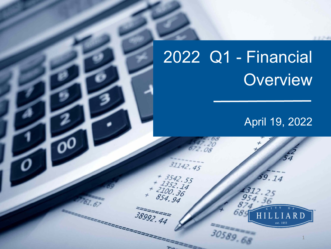# 2022 Q1 - Financial **Overview**

 $31142.45$ 

2222

 $+ 3542.55$ <br> $+ 1352.14$ <br> $+ 2100.36$ <br> $854.94$ 

38992.44

## April 19, 2022

59.14

1312. 954.

30589.68

1

RD

13.754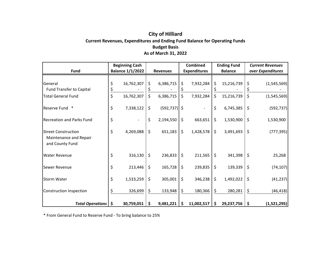#### **City of Hilliard Current Revenues, Expenditures and Ending Fund Balance for Operating Funds Budget Basis As of March 31, 2022**

|                                                                         | <b>Beginning Cash</b>   |            |                 |                 | <b>Combined</b>     |     | <b>Ending Fund</b> | <b>Current Revenues</b> |               |
|-------------------------------------------------------------------------|-------------------------|------------|-----------------|-----------------|---------------------|-----|--------------------|-------------------------|---------------|
| <b>Fund</b>                                                             | <b>Balance 1/1/2022</b> |            | <b>Revenues</b> |                 | <b>Expenditures</b> |     | <b>Balance</b>     | over Expenditures       |               |
|                                                                         |                         |            |                 |                 |                     |     |                    |                         |               |
| General                                                                 | \$                      | 16,762,307 | \$              | 6,386,715       | \$<br>7,932,284     | \$  | 15,216,739         | \$                      | (1, 545, 569) |
| <b>Fund Transfer to Capital</b>                                         |                         |            |                 |                 |                     |     |                    |                         |               |
| <b>Total General Fund</b>                                               | \$                      | 16,762,307 | \$              | 6,386,715       | \$<br>7,932,284     | \$  | 15,216,739         | \$                      | (1, 545, 569) |
| Reserve Fund<br>$\ast$                                                  | \$                      | 7,338,122  | \$              | $(592, 737)$ \$ |                     | \$  | 6,745,385          | \$                      | (592, 737)    |
| <b>Recreation and Parks Fund</b>                                        | \$                      |            | \$              | 2,194,550       | \$<br>663,651       | \$  | 1,530,900          | \$                      | 1,530,900     |
| <b>Street Construction</b><br>Maintenance and Repair<br>and County Fund | \$                      | 4,269,088  | \$              | 651,183         | \$<br>1,428,578     | \$  | 3,491,693          | $\zeta$                 | (777, 395)    |
| <b>Water Revenue</b>                                                    | \$                      | 316,130    | \$              | 236,833         | \$<br>211,565       | \$  | 341,398            | \$                      | 25,268        |
| Sewer Revenue                                                           | \$                      | 213,446    | \$              | 165,728         | \$<br>239,835       | \$  | 139,339            | \$                      | (74, 107)     |
| <b>Storm Water</b>                                                      | \$                      | 1,533,259  | \$              | 305,001         | \$<br>346,238       | \$  | 1,492,022          | \$                      | (41, 237)     |
| Construction Inspection                                                 | Ś                       | 326,699    | \$              | 133,948         | \$<br>180,366       | \$  | 280,281            | \$                      | (46, 418)     |
| Total Operations   \$                                                   |                         | 30,759,051 | \$              | 9,481,221       | \$<br>11,002,517    | \$. | 29,237,756         | -\$                     | (1,521,295)   |

\* From General Fund to Reserve Fund ‐ To bring balance to 25%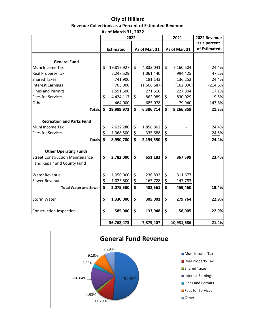#### **City of Hilliard Revenue Collections as a Percent of Estimated Revenue As of March 31, 2022**

|                                        | 2022 |                  |    |               |               | 2021          | 2022 Revenue |  |
|----------------------------------------|------|------------------|----|---------------|---------------|---------------|--------------|--|
|                                        |      |                  |    |               |               |               | as a percent |  |
|                                        |      | <b>Estimated</b> |    | As of Mar. 31 |               | As of Mar. 31 | of Estimated |  |
|                                        |      |                  |    |               |               |               |              |  |
| <b>General Fund</b>                    |      |                  |    |               |               |               |              |  |
| Muni Income Tax                        | \$   | 19,817,927       | \$ | 4,833,041     | \$            | 7,160,504     | 24.4%        |  |
| Real Property Tax                      |      | 2,247,529        |    | 1,061,440     |               | 994,425       | 47.2%        |  |
| <b>Shared Taxes</b>                    |      | 741,900          |    | 181,143       |               | 136,252       | 24.4%        |  |
| <b>Interest Earnings</b>               |      | 703,000          |    | (1,508,587)   |               | (162,096)     | $-214.6%$    |  |
| <b>Fines and Permits</b>               |      | 1,591,500        |    | 271,610       |               | 227,804       | 17.1%        |  |
| <b>Fees for Services</b>               | \$   | 4,424,117        | \$ | 862,989       | \$            | 830,029       | 19.5%        |  |
| Other                                  |      | 464,000          |    | 685,078       |               | 79,940        | 147.6%       |  |
| <b>Totals</b>                          | \$   | 29,989,973       | \$ | 6,386,714     | \$            | 9,266,858     | 21.3%        |  |
| <b>Recreation and Parks Fund</b>       |      |                  |    |               |               |               |              |  |
| Muni Income Tax                        | \$   | 7,622,280        | \$ | 1,858,862     | \$            |               | 24.4%        |  |
| <b>Fees for Services</b>               | \$   | 1,368,500        | \$ | 335,688       | $\frac{1}{2}$ |               | 24.5%        |  |
| <b>Totals</b>                          | \$   | 8,990,780        | \$ | 2,194,550     | \$            |               | 24.4%        |  |
| <b>Other Operating Funds</b>           |      |                  |    |               |               |               |              |  |
| <b>Street Construction Maintenance</b> | \$   | 2,782,000        | \$ | 651,183       | \$            | 867,599       | 23.4%        |  |
| and Repair and County Fund             |      |                  |    |               |               |               |              |  |
| <b>Water Revenue</b>                   | \$   | 1,050,000        | \$ | 236,833       | \$            | 311,677       |              |  |
| Sewer Revenue                          | \$   | 1,025,500        | \$ | 165,728       | \$            | 147,783       |              |  |
| <b>Total Water and Sewer</b>           | \$   | 2,075,500        | \$ | 402,561       | \$            | 459,460       | 19.4%        |  |
| <b>Storm Water</b>                     | \$   | 1,330,000        | \$ | 305,001       | \$            | 279,764       | 22.9%        |  |
| Construction Inspection                | \$   | 585,000          | \$ | 133,948       | \$            | 58,005        | 22.9%        |  |
|                                        |      | 36,762,473       |    | 7,879,407     |               | 10,931,686    | 21.4%        |  |

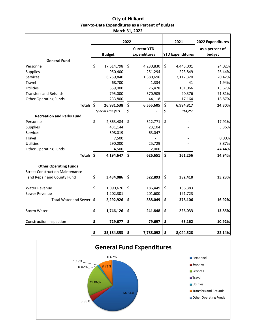#### **City of Hilliard Year‐to‐Date Expenditures as a Percent of Budget March 31, 2022**

|                                        | 2022                |                          |    |                                           | 2021                    | 2022 Expenditures         |  |
|----------------------------------------|---------------------|--------------------------|----|-------------------------------------------|-------------------------|---------------------------|--|
|                                        |                     | <b>Budget</b>            |    | <b>Current YTD</b><br><b>Expenditures</b> | <b>YTD Expenditures</b> | as a percent of<br>budget |  |
| <b>General Fund</b>                    |                     |                          |    |                                           |                         |                           |  |
| Personnel                              | \$                  | 17,614,798               | \$ | 4,230,830                                 | \$<br>4,445,001         | 24.02%                    |  |
| Supplies                               |                     | 950,400                  |    | 251,294                                   | 223,849                 | 26.44%                    |  |
| Services                               |                     | 6,759,840                |    | 1,380,696                                 | 2,117,320               | 20.42%                    |  |
| Travel                                 |                     | 68,700                   |    | 1,334                                     | 41                      | 1.94%                     |  |
| <b>Utilities</b>                       |                     | 559,000                  |    | 76,428                                    | 101,066                 | 13.67%                    |  |
| <b>Transfers and Refunds</b>           |                     | 795,000                  |    | 570,905                                   | 90,376                  | 71.81%                    |  |
| <b>Other Operating Funds</b>           |                     | 233,800                  |    | 44,118                                    | 17,164                  | 18.87%                    |  |
| <b>Totals</b>                          | $\dot{\mathsf{s}}$  | 26,981,538               | \$ | 6,555,605                                 | \$<br>6,994,817         | 24.30%                    |  |
|                                        |                     | <b>Special Transfers</b> | \$ |                                           | \$<br>161,256           |                           |  |
| <b>Recreation and Parks Fund</b>       |                     |                          |    |                                           |                         |                           |  |
| Personnel                              | \$                  | 2,863,484                | \$ | 512,771                                   | \$                      | 17.91%                    |  |
| Supplies                               |                     | 431,144                  |    | 23,104                                    |                         | 5.36%                     |  |
| Services                               |                     | 598,019                  |    | 63,047                                    |                         |                           |  |
| Travel                                 |                     | 7,500                    |    |                                           |                         | 0.00%                     |  |
| <b>Utilities</b>                       |                     | 290,000                  |    | 25,729                                    |                         | 8.87%                     |  |
| <b>Other Operating Funds</b>           |                     | 4,500                    |    | 2,000                                     |                         | 44.44%                    |  |
| <b>Totals</b>                          | $\ddot{\bm{\zeta}}$ | 4,194,647                | \$ | 626,651                                   | \$<br>161,256           | 14.94%                    |  |
| <b>Other Operating Funds</b>           |                     |                          |    |                                           |                         |                           |  |
| <b>Street Construction Maintenance</b> |                     |                          |    |                                           |                         |                           |  |
| and Repair and County Fund             | \$                  | 3,434,086                | \$ | 522,893                                   | \$<br>382,410           | 15.23%                    |  |
| <b>Water Revenue</b>                   | \$                  | 1,090,626                | \$ | 186,449                                   | \$<br>186,383           |                           |  |
| Sewer Revenue                          |                     | 1,202,301                |    | 201,600                                   | 191,723                 |                           |  |
| <b>Total Water and Sewer</b>           | \$                  | 2,292,926                | \$ | 388,049                                   | \$<br>378,106           | 16.92%                    |  |
| <b>Storm Water</b>                     | \$                  | 1,746,126                | \$ | 241,848                                   | \$<br>226,033           | 13.85%                    |  |
| <b>Construction Inspection</b>         | \$                  | 729,677                  | \$ | 79,697                                    | \$<br>63,162            | 10.92%                    |  |



**\$ 35,184,353 \$ 7,788,092 \$ 8,044,528 22.14%**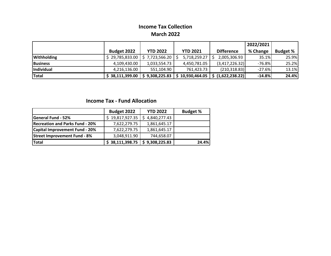### **Income Tax Collection March 2022**

|                    |                    |                 |                 |                   | 2022/2021 |                 |
|--------------------|--------------------|-----------------|-----------------|-------------------|-----------|-----------------|
|                    | <b>Budget 2022</b> | <b>YTD 2022</b> | <b>YTD 2021</b> | <b>Difference</b> | % Change  | <b>Budget %</b> |
| <b>Withholding</b> | \$29,785,833.00    | \$7,723,566.20  | 5,718,259.27    | 2,005,306.93      | 35.1%     | 25.9%           |
| <b>Business</b>    | 4,109,430.00       | 1,033,554.73    | 4,450,781.05    | (3,417,226.32)    | $-76.8%$  | 25.2%           |
| Individual         | 4,216,136.00       | 551,104.90      | 761,423.73      | (210, 318.83)     | $-27.6%$  | 13.1%           |
| <b>Total</b>       | \$38,111,399.00    | \$9,308,225.83  | 10,930,464.05   | (1,622,238.22)    | $-14.8%$  | 24.4%           |

#### **Income Tax ‐ Fund Allocation**

|                                        | Budget 2022     | <b>YTD 2022</b> | <b>Budget %</b> |
|----------------------------------------|-----------------|-----------------|-----------------|
| <b>General Fund - 52%</b>              | \$19,817,927.35 | \$4,840,277.43  |                 |
| <b>Recreation and Parks Fund - 20%</b> | 7,622,279.75    | 1,861,645.17    |                 |
| <b>Capital Improvement Fund - 20%</b>  | 7,622,279.75    | 1,861,645.17    |                 |
| <b>Street Improvement Fund - 8%</b>    | 3,048,911.90    | 744,658.07      |                 |
| Total                                  | \$38,111,398.75 | \$9,308,225.83  | 24.4%           |